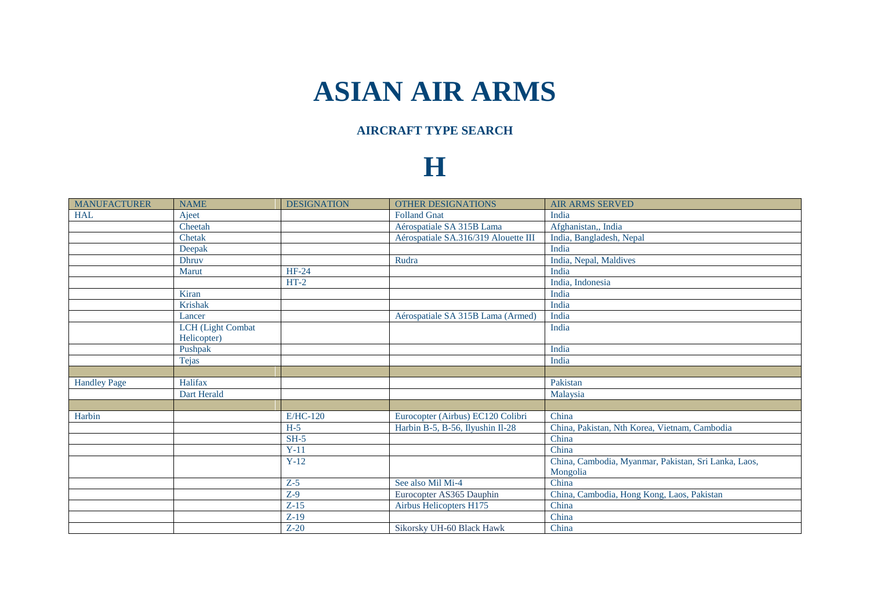## **ASIAN AIR ARMS**

## **AIRCRAFT TYPE SEARCH**

## **H**

| <b>MANUFACTURER</b> | <b>NAME</b>              | <b>DESIGNATION</b> | <b>OTHER DESIGNATIONS</b>            | <b>AIR ARMS SERVED</b>                               |
|---------------------|--------------------------|--------------------|--------------------------------------|------------------------------------------------------|
| <b>HAL</b>          | Ajeet                    |                    | <b>Folland Gnat</b>                  | India                                                |
|                     | Cheetah                  |                    | Aérospatiale SA 315B Lama            | Afghanistan,, India                                  |
|                     | Chetak                   |                    | Aérospatiale SA.316/319 Alouette III | India, Bangladesh, Nepal                             |
|                     | Deepak                   |                    |                                      | India                                                |
|                     | <b>Dhruv</b>             |                    | Rudra                                | India, Nepal, Maldives                               |
|                     | Marut                    | HF-24              |                                      | India                                                |
|                     |                          | $HT-2$             |                                      | India, Indonesia                                     |
|                     | Kiran                    |                    |                                      | India                                                |
|                     | <b>Krishak</b>           |                    |                                      | India                                                |
|                     | Lancer                   |                    | Aérospatiale SA 315B Lama (Armed)    | India                                                |
|                     | <b>LCH</b> (Light Combat |                    |                                      | India                                                |
|                     | Helicopter)              |                    |                                      |                                                      |
|                     | Pushpak                  |                    |                                      | India                                                |
|                     | <b>Tejas</b>             |                    |                                      | India                                                |
|                     |                          |                    |                                      |                                                      |
| <b>Handley Page</b> | Halifax                  |                    |                                      | Pakistan                                             |
|                     | Dart Herald              |                    |                                      | Malaysia                                             |
|                     |                          |                    |                                      |                                                      |
| Harbin              |                          | E/HC-120           | Eurocopter (Airbus) EC120 Colibri    | China                                                |
|                     |                          | $H-5$              | Harbin B-5, B-56, Ilyushin Il-28     | China, Pakistan, Nth Korea, Vietnam, Cambodia        |
|                     |                          | $SH-5$             |                                      | China                                                |
|                     |                          | $Y-11$             |                                      | China                                                |
|                     |                          | $Y-12$             |                                      | China, Cambodia, Myanmar, Pakistan, Sri Lanka, Laos, |
|                     |                          |                    |                                      | Mongolia                                             |
|                     |                          | $Z-5$              | See also Mil Mi-4                    | China                                                |
|                     |                          | $Z-9$              | Eurocopter AS365 Dauphin             | China, Cambodia, Hong Kong, Laos, Pakistan           |
|                     |                          | $Z-15$             | Airbus Helicopters H175              | China                                                |
|                     |                          | $Z-19$             |                                      | China                                                |
|                     |                          | $Z-20$             | Sikorsky UH-60 Black Hawk            | China                                                |